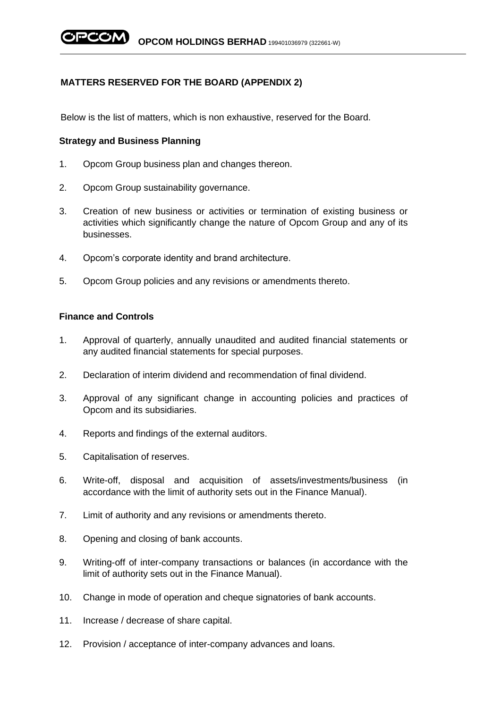# **MATTERS RESERVED FOR THE BOARD (APPENDIX 2)**

Below is the list of matters, which is non exhaustive, reserved for the Board.

## **Strategy and Business Planning**

- 1. Opcom Group business plan and changes thereon.
- 2. Opcom Group sustainability governance.
- 3. Creation of new business or activities or termination of existing business or activities which significantly change the nature of Opcom Group and any of its businesses.
- 4. Opcom's corporate identity and brand architecture.
- 5. Opcom Group policies and any revisions or amendments thereto.

## **Finance and Controls**

- 1. Approval of quarterly, annually unaudited and audited financial statements or any audited financial statements for special purposes.
- 2. Declaration of interim dividend and recommendation of final dividend.
- 3. Approval of any significant change in accounting policies and practices of Opcom and its subsidiaries.
- 4. Reports and findings of the external auditors.
- 5. Capitalisation of reserves.
- 6. Write-off, disposal and acquisition of assets/investments/business (in accordance with the limit of authority sets out in the Finance Manual).
- 7. Limit of authority and any revisions or amendments thereto.
- 8. Opening and closing of bank accounts.
- 9. Writing-off of inter-company transactions or balances (in accordance with the limit of authority sets out in the Finance Manual).
- 10. Change in mode of operation and cheque signatories of bank accounts.
- 11. Increase / decrease of share capital.
- 12. Provision / acceptance of inter-company advances and loans.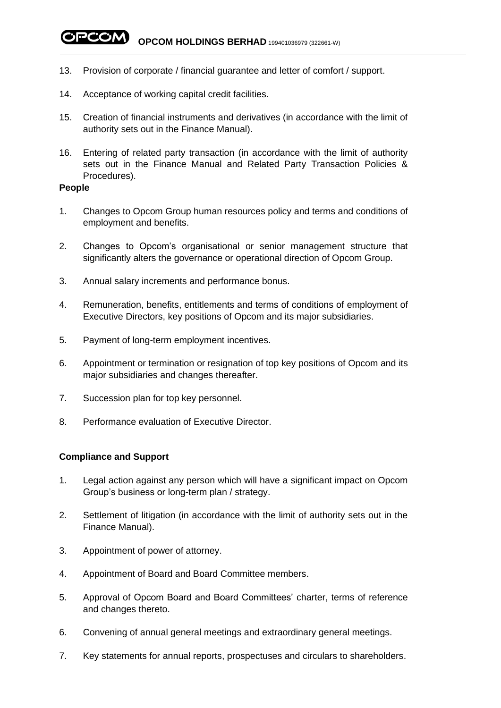**OPCOM** OPCOM HOLDINGS BERHAD 199401036979 (322661-W)

- 13. Provision of corporate / financial guarantee and letter of comfort / support.
- 14. Acceptance of working capital credit facilities.
- 15. Creation of financial instruments and derivatives (in accordance with the limit of authority sets out in the Finance Manual).
- 16. Entering of related party transaction (in accordance with the limit of authority sets out in the Finance Manual and Related Party Transaction Policies & Procedures).

#### **People**

- 1. Changes to Opcom Group human resources policy and terms and conditions of employment and benefits.
- 2. Changes to Opcom's organisational or senior management structure that significantly alters the governance or operational direction of Opcom Group.
- 3. Annual salary increments and performance bonus.
- 4. Remuneration, benefits, entitlements and terms of conditions of employment of Executive Directors, key positions of Opcom and its major subsidiaries.
- 5. Payment of long-term employment incentives.
- 6. Appointment or termination or resignation of top key positions of Opcom and its major subsidiaries and changes thereafter.
- 7. Succession plan for top key personnel.
- 8. Performance evaluation of Executive Director.

#### **Compliance and Support**

- 1. Legal action against any person which will have a significant impact on Opcom Group's business or long-term plan / strategy.
- 2. Settlement of litigation (in accordance with the limit of authority sets out in the Finance Manual).
- 3. Appointment of power of attorney.
- 4. Appointment of Board and Board Committee members.
- 5. Approval of Opcom Board and Board Committees' charter, terms of reference and changes thereto.
- 6. Convening of annual general meetings and extraordinary general meetings.
- 7. Key statements for annual reports, prospectuses and circulars to shareholders.